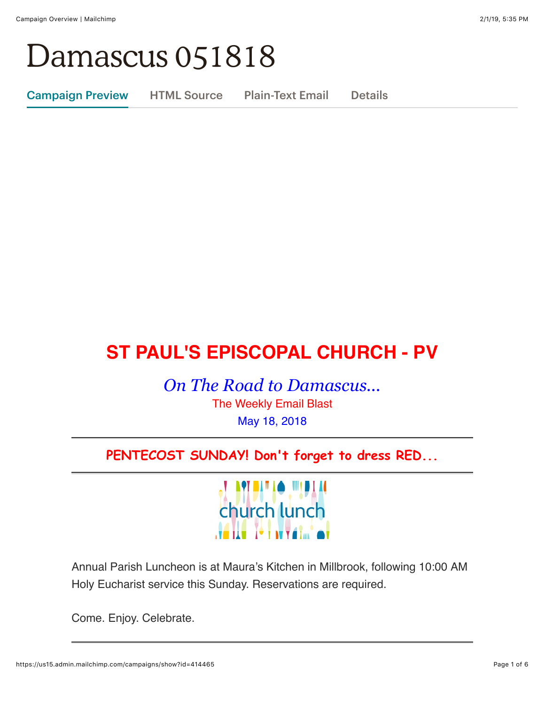# Damascus 051818

Campaign Preview HTML Source Plain-Text Email Details

## **ST PAUL'S EPISCOPAL CHURCH - PV**

*On The Road to Damascus...* The Weekly Email Blast May 18, 2018

### **PENTECOST SUNDAY! Don't forget to dress RED...**



Annual Parish Luncheon is at Maura's Kitchen in Millbrook, following 10:00 AM Holy Eucharist service this Sunday. Reservations are required.

Come. Enjoy. Celebrate.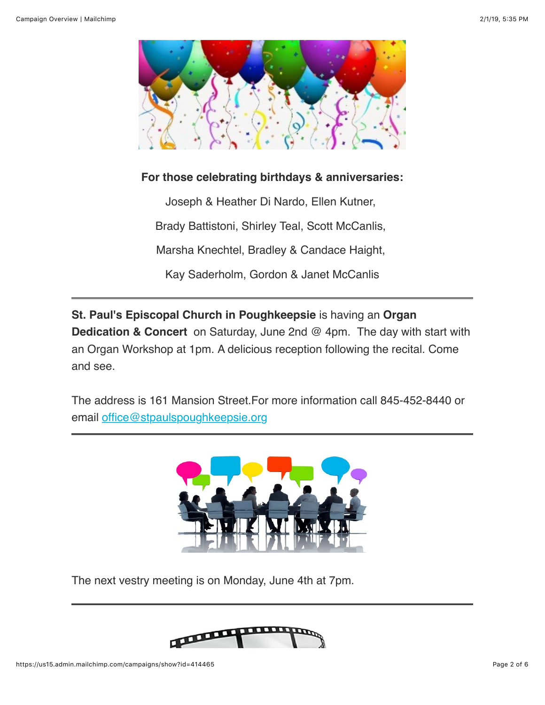

#### **For those celebrating birthdays & anniversaries:**

Joseph & Heather Di Nardo, Ellen Kutner, Brady Battistoni, Shirley Teal, Scott McCanlis, Marsha Knechtel, Bradley & Candace Haight, Kay Saderholm, Gordon & Janet McCanlis

**St. Paul's Episcopal Church in Poughkeepsie** is having an **Organ Dedication & Concert** on Saturday, June 2nd @ 4pm. The day with start with an Organ Workshop at 1pm. A delicious reception following the recital. Come and see.

The address is 161 Mansion Street.For more information call 845-452-8440 or email [office@stpaulspoughkeepsie.org](mailto:office@stpaulspoughkeepsie.org)



The next vestry meeting is on Monday, June 4th at 7pm.

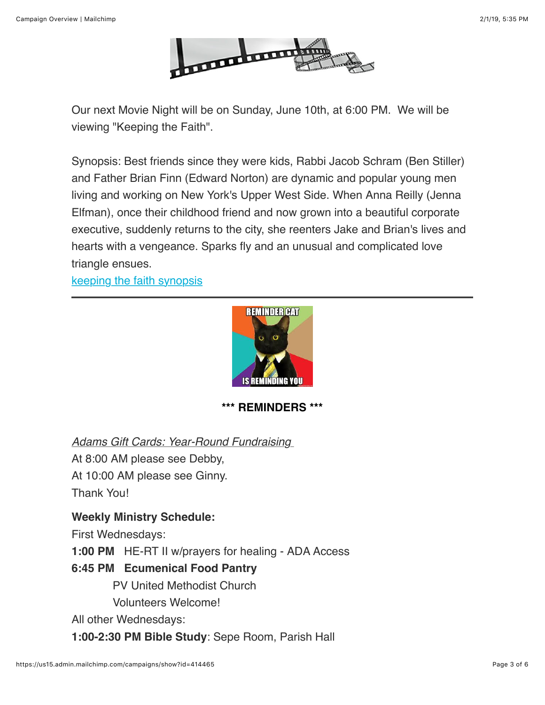

Our next Movie Night will be on Sunday, June 10th, at 6:00 PM. We will be viewing "Keeping the Faith".

Synopsis: Best friends since they were kids, Rabbi Jacob Schram (Ben Stiller) and Father Brian Finn (Edward Norton) are dynamic and popular young men living and working on New York's Upper West Side. When Anna Reilly (Jenna Elfman), once their childhood friend and now grown into a beautiful corporate executive, suddenly returns to the city, she reenters Jake and Brian's lives and hearts with a vengeance. Sparks fly and an unusual and complicated love triangle ensues.

[keeping the faith synopsis](https://www.google.com/search?client=safari&rls=en&q=keeping+the+faith+synopsis&ie=UTF-8&oe=UTF-8)



**\*\*\* REMINDERS \*\*\***

*Adams Gift Cards: Year-Round Fundraising* 

At 8:00 AM please see Debby,

At 10:00 AM please see Ginny.

Thank You!

#### **Weekly Ministry Schedule:**

First Wednesdays:

**1:00 PM** HE-RT II w/prayers for healing - ADA Access

#### **6:45 PM Ecumenical Food Pantry**

PV United Methodist Church

Volunteers Welcome!

All other Wednesdays:

**1:00-2:30 PM Bible Study**: Sepe Room, Parish Hall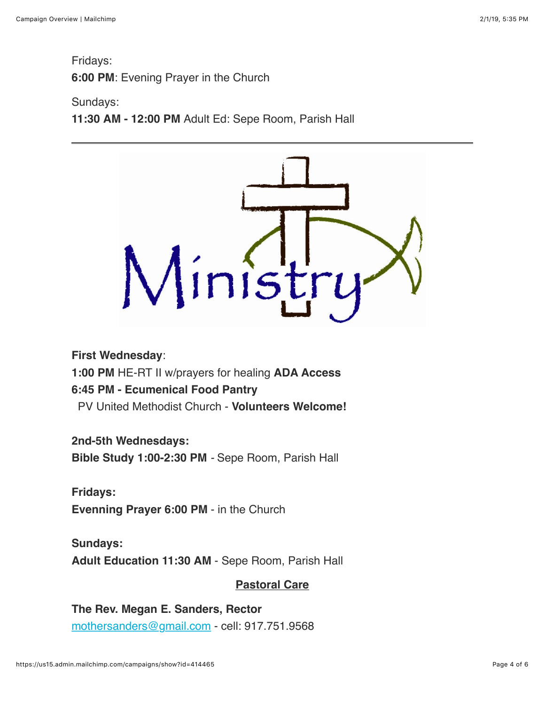Fridays: **6:00 PM**: Evening Prayer in the Church

#### Sundays:

**11:30 AM - 12:00 PM** Adult Ed: Sepe Room, Parish Hall



**First Wednesday**:

**1:00 PM** HE-RT II w/prayers for healing **ADA Access**

#### **6:45 PM - Ecumenical Food Pantry**

PV United Methodist Church - **Volunteers Welcome!**

**2nd-5th Wednesdays:**

**Bible Study 1:00-2:30 PM** *-* Sepe Room, Parish Hall

**Fridays: Evenning Prayer 6:00 PM** - in the Church

**Sundays: Adult Education 11:30 AM** - Sepe Room, Parish Hall

#### **Pastoral Care**

**The Rev. Megan E. Sanders, Rector** [mothersanders@gmail.com](mailto:mothersanders@gmail.com) - cell: 917.751.9568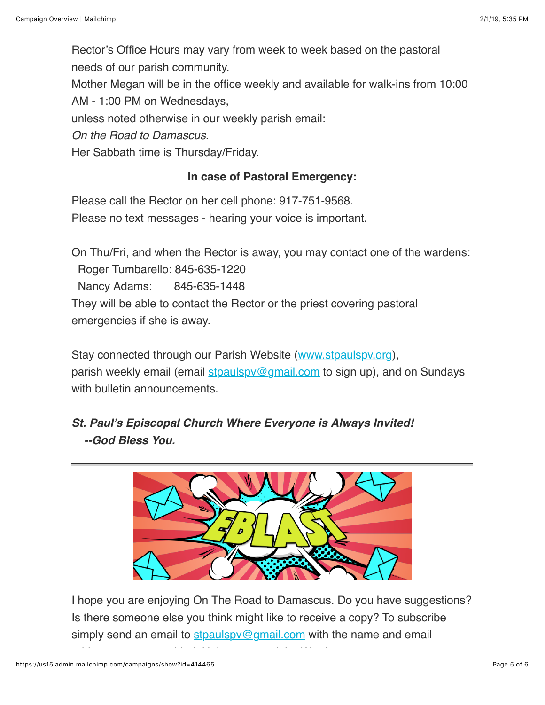Rector's Office Hours may vary from week to week based on the pastoral needs of our parish community.

Mother Megan will be in the office weekly and available for walk-ins from 10:00

AM - 1:00 PM on Wednesdays,

unless noted otherwise in our weekly parish email:

*On the Road to Damascus*.

Her Sabbath time is Thursday/Friday.

#### **In case of Pastoral Emergency:**

Please call the Rector on her cell phone: 917-751-9568. Please no text messages - hearing your voice is important.

On Thu/Fri, and when the Rector is away, you may contact one of the wardens:

Roger Tumbarello: 845-635-1220

Nancy Adams: 845-635-1448

They will be able to contact the Rector or the priest covering pastoral emergencies if she is away.

Stay connected through our Parish Website ([www.stpaulspv.org\)](http://www.stpaulspv.org/), parish weekly email (email stpaulspy@gmail.com to sign up), and on Sundays with bulletin announcements.

*St. Paul's Episcopal Church Where Everyone is Always Invited! --God Bless You.*



I hope you are enjoying On The Road to Damascus. Do you have suggestions? Is there someone else you think might like to receive a copy? To subscribe simply send an email to  $\frac{\text{stpaulspv@gmail.com}}{\text{gmail.com}}$  $\frac{\text{stpaulspv@gmail.com}}{\text{gmail.com}}$  $\frac{\text{stpaulspv@gmail.com}}{\text{gmail.com}}$  with the name and email

address you want address you want address you want address you want address to the Word.<br>Help us spread the Word.